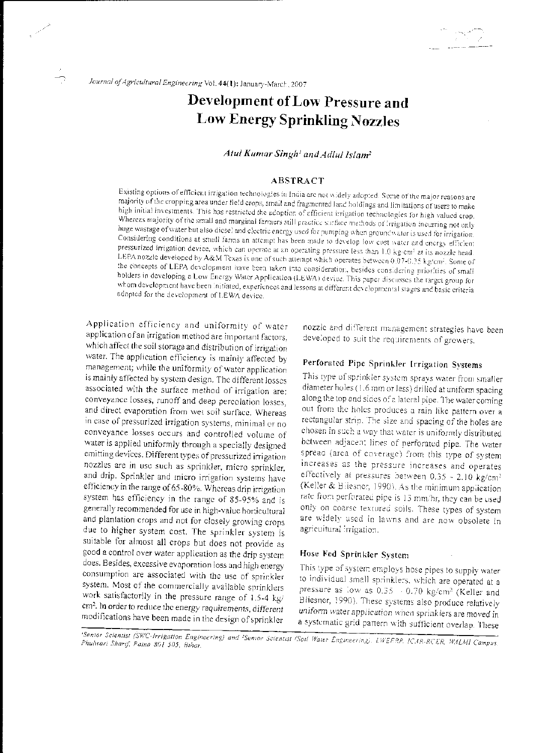# Development of Low Pressure and **Low Energy Sprinkling Nozzles**

# Atul Kumar Singh' and Adlul Islam<sup>2</sup>

# **ABSTRACT**

Existing options of efficient irrigation technologies in India are not widely adopted. Some of the major reasons are majority of the cropping area under field crops, small and fragmented land holdings and limitations of users to make high initial investments. This has restricted the adoption of efficient irrigation technologies for high valued crop. Whereas majority of the small and marginal farmers still practice surface methods of irrigation incurring not only huge wastage of water but also diese! and electric energy used for pumping when groundwater is used for irrigation. Considering conditions at small farms an attempt has been made to develop low cost water and energy efficient pressurized irrigation device, which can operate at an operating pressure less than 1.0 kg/cm<sup>2</sup> at its nozzle head. LEPA nozzle developed by A&M Texas is one of such attempt which operates between 0.07-0.35 kg/cm-. Some of the concepts of LEPA development have ceen taken into consideration, besides considering priorities of small holders in developing a Low Energy Water Application (LEWA) device. This paper discusses the target group for whom development have been initiated, experiences and lessons at different developmental stages and basic criteria adopted for the development of LEWA device.

Application efficiency and uniformity of water application of an irrigation method are important factors, which affect the soil storage and distribution of irrigation water. The application efficiency is mainly affected by management; while the uniformity of water application is mainly affected by system design. The different losses associated with the surface method of irrigation are: conveyance losses, runoff and deep percolation losses, and direct evaporation from wet soil surface. Whereas in case of pressurized irrigation systems, minimal or no conveyance losses occurs and controlled volume of water is applied uniformly through a specially designed emitting devices. Different types of pressurized irrigation nozzles are in use such as sprinkler, micro sprinkler, and drip. Sprinkler and inicro irrigation systems have efficiency in the range of 65-80%. Whereas drip irrigation system has efficiency in the range of 85-95% and is generally recommended for use in high-value horticultural and plantation crops and not for closely growing crops due to higher system cost. The sprinkler system is suitable for almost all crops but does not provide as good a control over water application as the drip system does. Besides, excessive evaporation loss and high energy consumption are associated with the use of sprinkler system. Most of the commercially available sprinklers work satisfactorily in the pressure range of 1.5-4 kg/ cm<sup>2</sup>. In order to reduce the energy requirements, different modifications have been made in the design of sprinkler

nozzle and different management strategies have been developed to suit the requirements of growers.

Îν,  $\mathcal{L}$ 

57

# Perforated Pipe Sprinkler Irrigation Systems

This type of sprinkler system sprays water from smaller diameter holes (1.6 mm or less) drilled at uniform spacing along the top and sides of a lateral pipe. The water coming out from the holes produces a rain like pattern over a rectangular strip. The size and spacing of the holes are chosen in such a way that water is uniformly distributed between adjacent lines of perforated pipe. The water spread (area of coverage) from this type of system increases as the pressure increases and operates effectively at pressures between 0.35 - 2.10 kg/cm<sup>2</sup> (Keller & Bilesner, 1990). As the minimum application rate from perforated pipe is 13 mm/hr, they can be used only on coarse textured soils. These types of system are widely used in lawns and are now obsolete in agricultural irrigation.

# Hose Fed Sprinkler System

This type of system employs hose pipes to supply water to individual small sprinklers, which are operated at a pressure as low as 0.35 - 0.70 kg/cm<sup>2</sup> (Keller and Bliesner, 1990). These systems also produce relatively uniform water application when sprinklers are moved in a systematic grid pattern with sufficient overlap. These

'Senior Scientist (SWC-Irrigation Engineering) and 'Senior Scientist (Soil Water Engineering), LWEERP, ICAR-RCER, WALMI Campus, Phulwari Sharif, Patna 801 505, Bihar.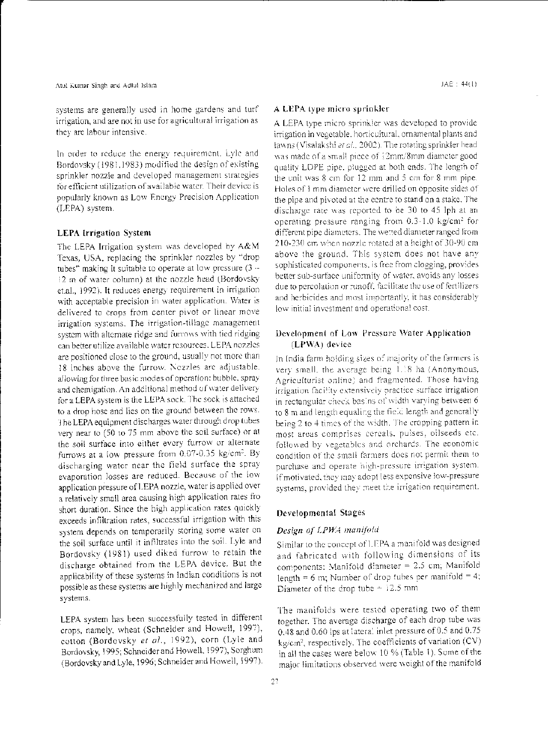systems are generally used in home gardens and turf irrigation, and are not in use for agricultural irrigation as they are labour intensive.

In order to reduce the energy requirement, Lyle and Bordovsky (1981,1983) modified the design of existing sprinkler nozzle and developed management strategies for efficient utilization of available water. Their device is popularly known as Low Energy Precision Application (LEPA) system.

# **LEPA** Irrigation System

The LEPA Irrigation system was developed by A&M Texas, USA, replacing the sprinkler nozzles by "drop tubes" making it suitable to operate at low pressure (3 --12 m of water column) at the nozzle head (Bordovsky et.al., 1992). It reduces energy requirement in irrigation with acceptable precision in water application. Water is delivered to crops from center pivot or linear move irrigation systems. The irrigation-tillage management system with alternate ridge and furrows with tied ridging can better utilize available water resources. LEPA nozzles are positioned close to the ground, usually not more than 18 inches above the furrow. Nezzles are adjustable. allowing for three basic modes of operation: bubble, spray and chemigation. An additional method of water delivery for a LEPA system is the LEPA sock. The sock is attached to a drop hose and lies on the ground between the rows. The LEPA equipment discharges water through drop tubes very near to (50 to 75 mm above the soil surface) or at the soil surface into either every furrow or alternate furrows at a low pressure from 0.07-0.35 kg/cm<sup>2</sup>. By discharging water near the field surface the spray evaporation losses are reduced. Because of the low application pressure of LEPA nozzle, water is applied over a relatively small area causing high application rates fro short duration. Since the high application rates quickly exceeds infiltration rates, successful irrigation with this system depends on temporarily storing some water on the soil surface until it infiltrates into the soil. Lyle and Bordovsky (1981) used diked furrow to retain the discharge obtained from the LEPA device. But the applicability of these systems in Indian conditions is not possible as these systems are highly mechanized and large systems.

LEPA system has been successfully tested in different crops, namely, wheat (Schneider and Howell, 1997), cotton (Bordovsky et al., 1992), corn (Lyle and Bordovsky, 1995; Schneider and Howell, 1997), Sorghum (Bordovsky and Lyle, 1996; Schneider and Howell, 1997).

#### A LEPA type micro sprinkler

A LEPA type micro sprinkler was developed to provide irrigation in vegetable, horticultural, ornamental plants and lawns (Visalakshi et al., 2002). The rotating sprinkler head was made of a small piece of 12mm/8mm diameter good quality LDPE pipe, plugged at both ends. The length of the unit was 8 cm for 12 mm and 5 cm for 8 mm pipe. Holes of 1 mm diameter were drilled on opposite sides of the pipe and pivoted at the centre to stand on a stake. The discharge rate was reported to be 30 to 45 lph at an operating pressure ranging from 0.3-1.0 kg/cm<sup>2</sup> for different pipe diameters. The wetted diameter ranged from 210-230 cm when nozzle rotated at a height of 30-90 cm above the ground. This system does not have any sophisticated components, is free from clogging, provides better sub-surface uniformity of water, avoids any losses due to percolation or runoff, facilitate the use of fertilizers and herbicides and most importantly, it has considerably low initial investment and operational cost.

# Development of Low Pressure Water Application (LPWA) device

In India farm holding sizes of majority of the farmers is very small, the average being 1.18 ha (Anonymous, Agriculturist online) and fragmented. Those having irrigation facility extensively practice surface irrigation in rectangular check basins of width varying between 6 to 8 m and length equaling the field length and generally being 2 to 4 times of the width. The cropping pattern in most areas comprises cereals, pulses, oilseeds etc. followed by vegetables and orchards. The economic condition of the small farmers does not permit them to purchase and operate high-pressure irrigation system. If motivated, they may adopt less expensive low-pressure systems, provided they meet the irrigation requirement.

# Developmental Stages

# Design of LPWA manifold

Similar to the concept of LEPA a manifold was designed and fabricated with following dimensions of its components: Manifold diameter = 2.5 cm; Manifold length = 6 m; Number of drop tubes per manifold = 4; Diameter of the drop tube  $-12.5$  mm

The manifolds were tested operating two of them together. The average discharge of each drop tube was 0.48 and 0.60 lps at lateral inlet pressure of 0.5 and 0.75 kg/cm<sup>2</sup>, respectively. The coefficients of variation (CV) in all the cases were below 10 % (Table 1). Some of the major limitations observed were weight of the manifold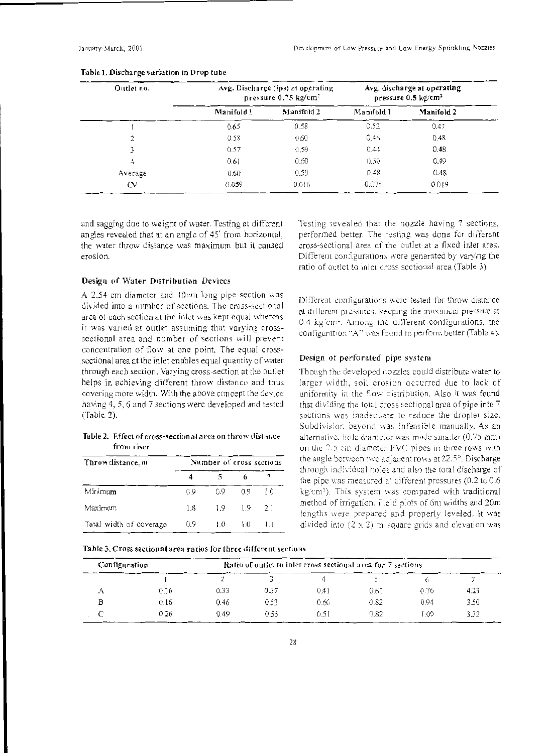| Outlet no. |            | Avg. Discharge (lps) at operating<br>pressure $0.75 \text{ kg/cm}^2$ |            | Avg. discharge at operating<br>pressure $0.5 \text{ kg/cm}^2$ |
|------------|------------|----------------------------------------------------------------------|------------|---------------------------------------------------------------|
|            | Manifold 1 | Manifold 2                                                           | Manifold 1 | Manifold 2                                                    |
|            | 0.65       | 0.58                                                                 | 0.52       | 0.47                                                          |
|            | 0.58       | 0.60                                                                 | 0.46       | 0.48                                                          |
|            | 0.57       | 0.59                                                                 | 0.44       | 0.48                                                          |
| 4          | 0.61       | 0.60                                                                 | 0.50       | 0.49                                                          |
| Average    | 0.60       | 0.59                                                                 | 0.48       | 0.48                                                          |
| CV         | 0.059      | 0.016                                                                | 0.075      | 0.019                                                         |

#### Table 1. Discharge variation in Drop tube

and sagging due to weight of water. Testing at different angles revealed that at an angle of 45' from horizontal, the water throw distance was maximum but it caused erosion.

#### Design of \\'ater Distribution Devices

A  $2.54$  cm diameter and 10cm long pipe section was divided into a number of sections. The cross-sectional area of each section at the inlet was kept equal whereas it was varied at outlet assuming that varying crosssectional area and number of sections will prevent concentration of flow at one point. The equal crosssectional area at the inlet enables equal quantity of water. through each section. Varying cross-section at the outlet helps in achieving different throw distance and thus covering more width. With the above concept the device having 4, 5, 6 and 7 sections were developed and tested (Table 2).

Table 2. Effect of cross-sectional area on throw distance from riser

| Throw distance, m       | Number of cross sections |     |     |                |  |  |
|-------------------------|--------------------------|-----|-----|----------------|--|--|
|                         |                          |     | 6   |                |  |  |
| Minimum                 | 09                       | 0.9 | 09  | LΟ             |  |  |
| Maximum                 | 18                       | 1.9 | 19  | 2 <sub>1</sub> |  |  |
| Total width of coverage | 0.9                      | L0  | 1.0 |                |  |  |

Testing revealed that the nozzle having 7 sections, performed better. The resting was done for different cross-sectional area of 1he outlet at a fixed inlet area. Different configurations were generated by varying the ratio of outlet to inlet cross sectional area (Table 3).

Different configurations were tested for throw distance at different pressures. keeping the maximum pressure at 0.4 kg/cm<sup>2</sup>. Among the different configurations, the configuration "A" was found to perform better (Table 4).

#### Design of perforated pipe systeni

Though the developed nozzles could distribute water to larger width, soil erosion occurred due to lack of uniformity in the flow distribution. Also it was found that dividing the total cross sectional area of pipe into  $7$ sections was inadequate to reduce the droplet size. Subdivision beyond was infeasible manually. As an alternative, hole diameter was made smaller (0.75 mm). on the 7.5 cm diameter PVC pipes in three rows with the angle between .wo adjacent rows at 22.5°. Discharge through individual holes and also the total discharge of the pipe was measured at different pressures (0.2 to 0.6 kg/cm<sup>2</sup>). This system was compared with traditional method of irrigation. Field plots of 6m widths and 20m lengths were prepared and properly leveled. It was divided into  $(2 \times 2)$  m square grids and elevation was

|  | Table 3. Cross sectional area ratios for three different sections |
|--|-------------------------------------------------------------------|
|--|-------------------------------------------------------------------|

| Configuration<br>Ratio of outlet to inlet cross sectional area for 7 sections |      |      |      |      |      |      |      |
|-------------------------------------------------------------------------------|------|------|------|------|------|------|------|
|                                                                               |      |      |      |      |      |      |      |
|                                                                               | 0.16 | 0.33 | 0.37 | 0.41 | 0.61 | 0.76 | 4.23 |
|                                                                               | 0.16 | 0.46 | 0.53 | 0.60 | 0.82 | 0.94 | 3.50 |
|                                                                               | 0.26 | 0.49 | 0.55 | 0.51 | 0.82 | .00  | 3.32 |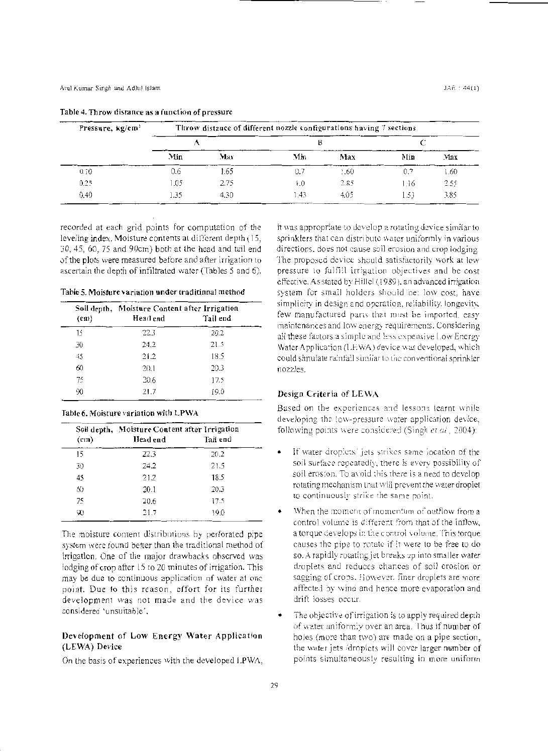| Pressure, kg/cm <sup>2</sup> | Throw distance of different nozzle configurations having 7 sections |      |      |       |      |      |  |  |
|------------------------------|---------------------------------------------------------------------|------|------|-------|------|------|--|--|
|                              |                                                                     |      | в    |       |      |      |  |  |
|                              | Min                                                                 | Max  | Min  | Max   | Min  | Max  |  |  |
| 0.10                         | 0.6                                                                 | 1.65 | 0.7  | 1.60  | 0.7  | 1.60 |  |  |
| 0.25                         | .05                                                                 | 2.75 | i.O  | 2.85  | 1.16 | 2.55 |  |  |
| 0.40                         | - 35                                                                | 4.30 | 1.43 | -4.05 | 1.53 | 3.85 |  |  |

#### Table 4. Throw distance as a function of pressure

recorded at each grid points for computation of the leveling index. Moisture contents at different depth (15, 30, 45, 60, 75 and 90cm) both at the head and tail end of the plots were measured before and after irrigation to ascertain the depth of infiltrated water (Tables 5 and 6).

Table 5. Moisture variation under traditional method

|               | Soil depth, Moisture Content after Irrigation |          |
|---------------|-----------------------------------------------|----------|
| $\text{(cm)}$ | Head end                                      | Tail end |
| 15            | 22.3                                          | 20.2     |
| 30            | 24.2                                          | 21.5     |
| 45            | 21.2                                          | 18.5     |
| 60            | 20.1                                          | 20.3     |
| 75            | 20.6                                          | 17.5     |
| 90            | 21.7                                          | 19.0     |

#### Table 6. Moisture variation with LPWA

|                   | Soil depth, Moisture Content after Irrigation |          |
|-------------------|-----------------------------------------------|----------|
| (c <sub>1</sub> ) | Head end                                      | Tail end |
| 15                | 22.3                                          | 20.2     |
| 30                | 24.2                                          | 21.5     |
| 45                | 21.2                                          | 18.5     |
| 60                | 20.1                                          | 20.3     |
| 75                | 20.6                                          | 17.5     |
| 90                | 21.7                                          | 19.0     |

The moisture content distributions by perforated pipe system were found better than the traditional method of irrigation. One of the major drawbacks observed was iodging of crop after 15 to 20 minutes of irrigation. This may be due to continuous application of water at one point. Due to this reason, effort for its further development was not made and the device was considered 'unsuitable'.

# Development of Low Energy Water Application (LEWA) Device

On the basis of experiences with the developed LPWA,

it was appropriate to develop a rotating device similar to sprinklers that can distribute water uniformly in various directions, does not cause soil erosion and crop lodging. The proposed device should satisfactorily work at low pressure to fulfill irrigation objectives and be cost effective. As stated by Hillel (1989), an advanced irrigation system for small holders should be: low cost, have simplicity in design and operation, reliability, longevity, few manufactured parts that must be imported, easy maintenances and low energy requirements. Considering all these factors a simple and less expensive Low Energy Water Application (LEWA) device was developed, which could simulate raintall similar to the conventional sprinkler. nozzles.

# Design Criteria of LEWA

Based on the experiences and lessons learnt while developing the low-pressure water application device, following points were considered (Singh et al., 2004):

- If water droplets' jets strikes same location of the soil surface receatedly, there is every possibility of soil erosion. To avoid this there is a need to develop rotating mechanism that will prevent the water droplet to continuously strike the same point.
- When the moment of momentum of outflow from a control volume is different from that of the inflow. a torque develops in the control volume. This torque causes the pipe to rotate if it were to be free to do so. A rapidly rotating jet breaks up into smaller water droplets and reduces chances of soil erosion or sagging of crops. However, finer droplets are more affected by wind and hence more evaporation and drift losses occur.
- The objective of irrigation is to apply required depth of water uniformly over an area. Thus if number of holes (more than two) are made on a pipe section, the water jets /droplets will cover larger number of points simultaneously resulting in more uniform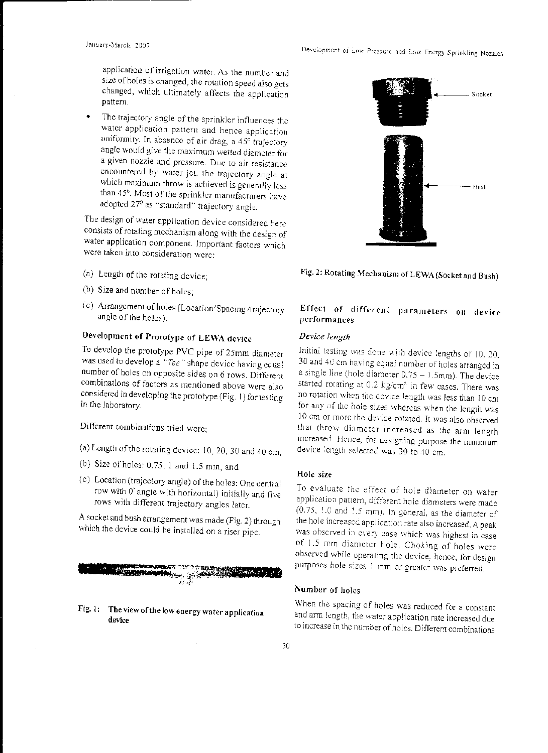application of irrigation water. As the number and size of holes is changed, the rotation speed also gets changed, which ultimately affects the application pattern.

The trajectory angle of the sprinkler influences the water application pattern and hence application uniformity. In absence of air drag, a  $45^\circ$  trajectory angle would give the maximum wetted diameter for a given nozzle and pressure. Due to air resistance encountered by water jet, the trajectory angle at which maximum throw is achieved is generally less than 45°. Most of the sprinkler manufacturers have adopted 27° as "standard" trajectory angle.

The design of water application device considered here consists of rotating mcchanisrn along \vi th the design of water application component. Important factors which were taken into consideration were:

- (a) Length of the rotating device;
- (b) Size and number of holes;
- (c) Arrangement of holes (Location/Spacing /trajectory angle of the holes).

# Development of Prototype of LE\\'A. device

To develop the prototype PVC pipe of 25mm diameter was used to develop a "Tee" shape device having equal number of holes on opposite sides on 6 rows. Different combinations of factors as mentioned above were also considered in developing the prototype (Fig. I) for testing in the laboratory.

Different combinations tried were;

- (a) Length of the rotating device: 10, 20, JO and 40 cm,
- (b) Size of holes: 0.75, l and !.5 mm, and
- ( c) Location (trajectory angle) of the holes: One central row with O' angle with horizontal) initially and five rows with different trajectory angles later.

A socket and bush arrangement was made (Fig. 2) through which the device could be installed on a riser pipe.



Fig. 1: The view of the low energy water application device



Fig. 2: Rotating Mechanism of LEWA (Socket and Bush)

# Effect of different parameters on device performances

#### *Dei'ice length*

Initial testing was done with device lengths of 10, 20, 30 and 40 cm having equal number of holes arranged in a single line (hole diameter  $0.75 - 1.5$ mm). The device started rotating at 0.2 kg/cm<sup>2</sup> in few cases. There was no rotation when the device length was less than 10 cm for any of the hole sizes whereas when the length  $\mathrm{was}$ 10 cm or more the device rotated. It was also observed that throw diameter increased as the arm length increased. Hence, for designing purpose the minimum device length selected was 30 to 40 cm.

#### Hole size

To evaluate the effect of hole diameter on water application pattern, different hole diameters were made  $(0.75, \, 1.0$  and  $1.5$  mm). In general, as the diameter of the hole increased application rate also increased. A peak was observed in every case which was highest in case of 1.5 mm diameter hole. Choking of holes were observed while operating the device. hence, for design purposes hole sizes 1 mm or greater was preferred.

# Number of holes

When the spacing of holes was reduced for a constant and arm length, the water application rate increased due to increase in the number of holes. Different combinations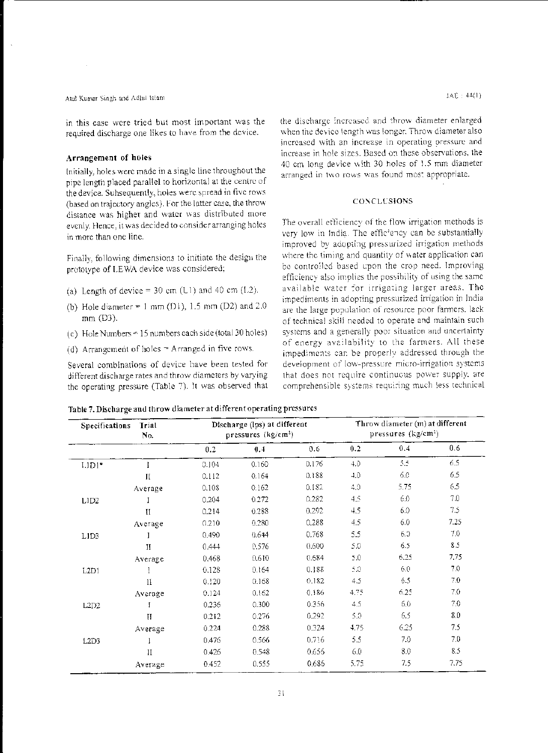#### Atul Kumar Singh and Adlul Islam

in this case were tried but most important was the required discharge one likes to have from the device.

#### Arrangement of holes

initially, holes were made in a single line throughout the pipe length placed parallel to horizontal at the centre of the device. Subsequently, holes were spread in five rows (based on trajectory angles). For the latter case, the throw distance was higher and water was distributed more evenly. Hence, it was decided to consider arranging holes in more than one line.

Finally, following dimensions to initiate the design the prototype of LEWA device was considered;

- (a) Length of device = 30 cm (L1) and 40 cm (L2).
- (b) Hole diameter = 1 mm (D1), 1.5 mm (D2) and 2.0 mm (D3).
- (c) Hole Numbers = 15 numbers each side (total 30 holes)
- (d) Arrangement of holes  $=$  Arranged in five rows.

Several combinations of device have been tested for different discharge rates and throw diameters by varying the operating pressure (Table 7). It was observed that the discharge increased and throw diameter enlarged when the device (ength was longer. Throw diameter also increased with an increase in operating pressure and increase in hole sizes. Based on these observations, the 40 cm long device with 30 holes of 1.5 mm diameter arranged in two rows was found most appropriate.

#### CONCLUSIONS

The overall efficiency of the flow irrigation methods is very low in India. The efficiency can be substantially improved by adopting pressurized irrigation methods where the timing and quantity of water application can be controlled based upon the crop need. Improving efficiency also implies the possibility of using the same available water for irrigating larger areas. The impediments in adopting pressurized irrigation in India are the large population of resource poor farmers, lack of technical skill needed to operate and maintain such systems and a generally poor situation and uncertainty of energy availability to the farmers. All these impediments can be properly addressed through the development of low-pressure micro-irrigation systems that does not require continuous power supply, are comprehensible systems requiring much less technical

|  | Table 7. Discharge and throw diameter at different operating pressures |  |
|--|------------------------------------------------------------------------|--|
|--|------------------------------------------------------------------------|--|

| Trial<br>Specifications<br>No. |               |       | Discharge (lps) at different<br>pressures $(kg/cm2)$ |       |      | Throw diameter (m) at different<br>pressures $(kg/cm2)$ |      |  |
|--------------------------------|---------------|-------|------------------------------------------------------|-------|------|---------------------------------------------------------|------|--|
|                                |               | 0.2   | 0.4                                                  | 0.6   | 0.2  | 0.4                                                     | 0.6  |  |
| $LJD1*$                        |               | 0.104 | 0.160                                                | 0.176 | 4.0  | 5.5                                                     | 6.5  |  |
|                                | П             | 0.112 | 0.164                                                | 0.188 | 4.0  | 6.0                                                     | 6.5  |  |
|                                | Average       | 0.108 | 0.162                                                | 0.182 | 4,0  | 5.75                                                    | 6.5  |  |
| L1D2                           |               | 0.204 | 0.272                                                | 0.282 | 4.5  | 6.0                                                     | 7.0  |  |
|                                | $\mathbf{I}$  | 0.214 | 0.288                                                | 0.292 | 4.5  | 6.0                                                     | 7.5  |  |
|                                | Average       | 0.210 | 0.280                                                | 0.288 | 4.5  | 6.0                                                     | 7.25 |  |
| LID3                           |               | 0.490 | 0.644                                                | 0.768 | 5.5  | 6.0                                                     | 7.0  |  |
|                                | $\rm H$       | 0.444 | 0.576                                                | 0.600 | 5.0  | 6.5                                                     | 8.5  |  |
|                                | Average       | 0.468 | 0.610                                                | 0.684 | 5.0  | 6.25                                                    | 7.75 |  |
| L <sub>2</sub> D <sub>1</sub>  | I             | 0.128 | 0.164                                                | 0.188 | 5.0  | 6.0                                                     | 7.0  |  |
|                                | $1\mathbf{I}$ | 0.120 | 0.168                                                | 0.182 | 4.5  | 6.5                                                     | 7.0  |  |
|                                | Average       | 0.124 | 0.162                                                | 0.186 | 4.75 | 6.25                                                    | 7.0  |  |
| L2D2                           | I             | 0.236 | 0.300                                                | 0.356 | 4.5  | 6.0                                                     | 7.0  |  |
|                                | $\rm H$       | 0.212 | 0.276                                                | 0.292 | 5.0  | 6.5                                                     | 8.0  |  |
|                                | Average       | 0.224 | 0.288                                                | 0.324 | 4.75 | 6.25                                                    | 7.5  |  |
| L <sub>2D3</sub>               |               | 0.476 | 0.566                                                | 0.716 | 5.5  | 7.0                                                     | 7.0  |  |
|                                | $\rm II$      | 0.426 | 0.548                                                | 0.656 | 6.0  | 8.0                                                     | 8.5  |  |
|                                | Average       | 0.452 | 0.555                                                | 0.686 | 5.75 | 7.5                                                     | 7.75 |  |